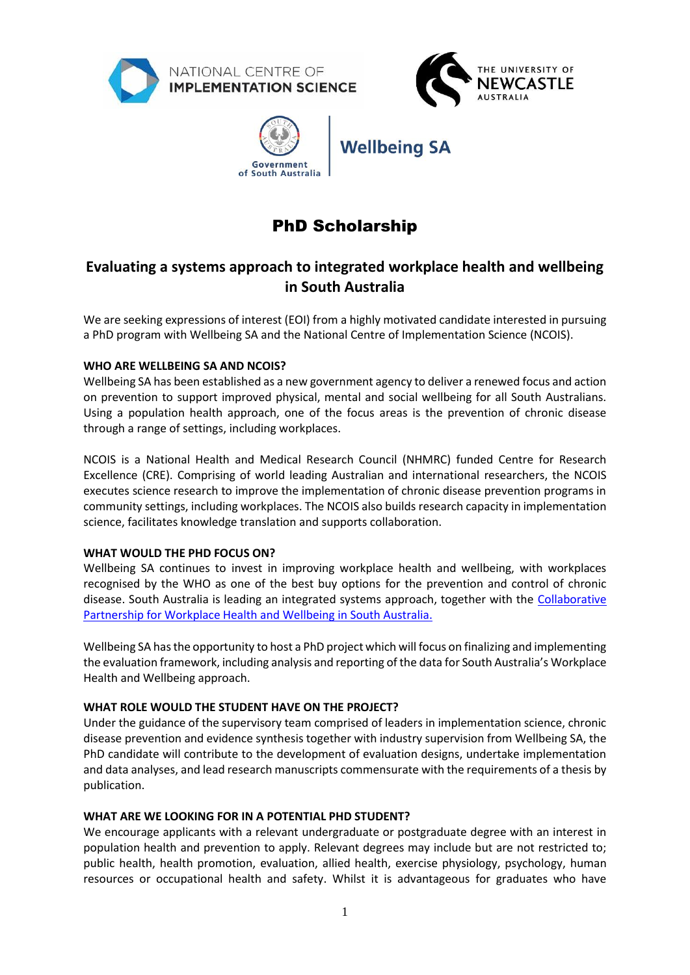







# PhD Scholarship

# **Evaluating a systems approach to integrated workplace health and wellbeing in South Australia**

We are seeking expressions of interest (EOI) from a highly motivated candidate interested in pursuing a PhD program with Wellbeing SA and the National Centre of Implementation Science (NCOIS).

# **WHO ARE WELLBEING SA AND NCOIS?**

Wellbeing SA has been established as a new government agency to deliver a renewed focus and action on prevention to support improved physical, mental and social wellbeing for all South Australians. Using a population health approach, one of the focus areas is the prevention of chronic disease through a range of settings, including workplaces.

NCOIS is a National Health and Medical Research Council (NHMRC) funded Centre for Research Excellence (CRE). Comprising of world leading Australian and international researchers, the NCOIS executes science research to improve the implementation of chronic disease prevention programs in community settings, including workplaces. The NCOIS also builds research capacity in implementation science, facilitates knowledge translation and supports collaboration.

# **WHAT WOULD THE PHD FOCUS ON?**

Wellbeing SA continues to invest in improving workplace health and wellbeing, with workplaces recognised by the WHO as one of the best buy options for the prevention and control of chronic disease. South Australia is leading an integrated systems approach, together with the [Collaborative](https://www.healthyworkplaces.sa.gov.au/about/collaborative-partnership-for-health-and-wellbeing-in-south-australia)  [Partnership for Workplace Health and Wellbeing in South Australia.](https://www.healthyworkplaces.sa.gov.au/about/collaborative-partnership-for-health-and-wellbeing-in-south-australia)

Wellbeing SA has the opportunity to host a PhD project which will focus on finalizing and implementing the evaluation framework, including analysis and reporting of the data for South Australia's Workplace Health and Wellbeing approach.

# **WHAT ROLE WOULD THE STUDENT HAVE ON THE PROJECT?**

Under the guidance of the supervisory team comprised of leaders in implementation science, chronic disease prevention and evidence synthesis together with industry supervision from Wellbeing SA, the PhD candidate will contribute to the development of evaluation designs, undertake implementation and data analyses, and lead research manuscripts commensurate with the requirements of a thesis by publication.

# **WHAT ARE WE LOOKING FOR IN A POTENTIAL PHD STUDENT?**

We encourage applicants with a relevant undergraduate or postgraduate degree with an interest in population health and prevention to apply. Relevant degrees may include but are not restricted to; public health, health promotion, evaluation, allied health, exercise physiology, psychology, human resources or occupational health and safety. Whilst it is advantageous for graduates who have